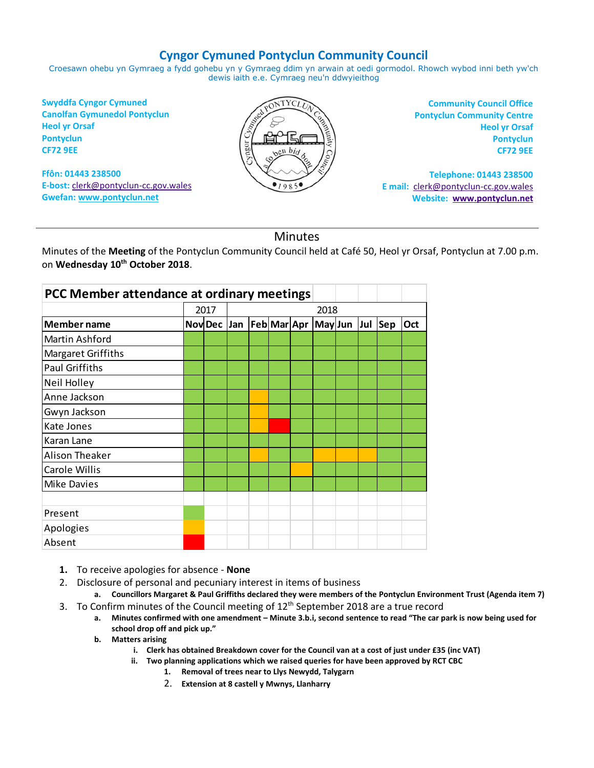## **Cyngor Cymuned Pontyclun Community Council**

Croesawn ohebu yn Gymraeg a fydd gohebu yn y Gymraeg ddim yn arwain at oedi gormodol. Rhowch wybod inni beth yw'ch dewis iaith e.e. Cymraeg neu'n ddwyieithog

**Swyddfa Cyngor Cymuned Canolfan Gymunedol Pontyclun Heol yr Orsaf Pontyclun CF72 9EE**

**Ffôn: 01443 238500 E-bost:** [clerk@pontyclun-cc.gov.wales](mailto:clerk@pontyclun-cc.gov.wales) **Gwefan[: www.pontyclun.net](http://www.pontyclun.net/)** 



**Community Council Office Pontyclun Community Centre Heol yr Orsaf Pontyclun CF72 9EE**

**Telephone: 01443 238500 E mail:** [clerk@pontyclun-cc.gov.wales](mailto:clerk@pontyclun-cc.gov.wales)  **Website: [www.pontyclun.net](http://www.pontyclun.net/)**

## Minutes

Minutes of the **Meeting** of the Pontyclun Community Council held at Café 50, Heol yr Orsaf, Pontyclun at 7.00 p.m. on **Wednesday 10 th October 2018**.

| PCC Member attendance at ordinary meetings |      |                               |      |  |  |  |             |  |  |     |     |
|--------------------------------------------|------|-------------------------------|------|--|--|--|-------------|--|--|-----|-----|
|                                            | 2017 |                               | 2018 |  |  |  |             |  |  |     |     |
| <b>Member name</b>                         |      | Nov Dec Jan   Feb   Mar   Apr |      |  |  |  | May Jun Jul |  |  | Sep | Oct |
| Martin Ashford                             |      |                               |      |  |  |  |             |  |  |     |     |
| Margaret Griffiths                         |      |                               |      |  |  |  |             |  |  |     |     |
| <b>Paul Griffiths</b>                      |      |                               |      |  |  |  |             |  |  |     |     |
| Neil Holley                                |      |                               |      |  |  |  |             |  |  |     |     |
| Anne Jackson                               |      |                               |      |  |  |  |             |  |  |     |     |
| Gwyn Jackson                               |      |                               |      |  |  |  |             |  |  |     |     |
| <b>Kate Jones</b>                          |      |                               |      |  |  |  |             |  |  |     |     |
| Karan Lane                                 |      |                               |      |  |  |  |             |  |  |     |     |
| Alison Theaker                             |      |                               |      |  |  |  |             |  |  |     |     |
| <b>Carole Willis</b>                       |      |                               |      |  |  |  |             |  |  |     |     |
| <b>Mike Davies</b>                         |      |                               |      |  |  |  |             |  |  |     |     |
|                                            |      |                               |      |  |  |  |             |  |  |     |     |
| Present                                    |      |                               |      |  |  |  |             |  |  |     |     |
| Apologies                                  |      |                               |      |  |  |  |             |  |  |     |     |
| Absent                                     |      |                               |      |  |  |  |             |  |  |     |     |

- **1.** To receive apologies for absence **None**
- 2. Disclosure of personal and pecuniary interest in items of business
	- **a. Councillors Margaret & Paul Griffiths declared they were members of the Pontyclun Environment Trust (Agenda item 7)**
- 3. To Confirm minutes of the Council meeting of 12<sup>th</sup> September 2018 are a true record
	- **a. Minutes confirmed with one amendment – Minute 3.b.i, second sentence to read "The car park is now being used for school drop off and pick up."**
	- **b. Matters arising**
		- **i. Clerk has obtained Breakdown cover for the Council van at a cost of just under £35 (inc VAT)**
		- **ii. Two planning applications which we raised queries for have been approved by RCT CBC**
			- **1. Removal of trees near to Llys Newydd, Talygarn**
			- 2. **Extension at 8 castell y Mwnys, Llanharry**